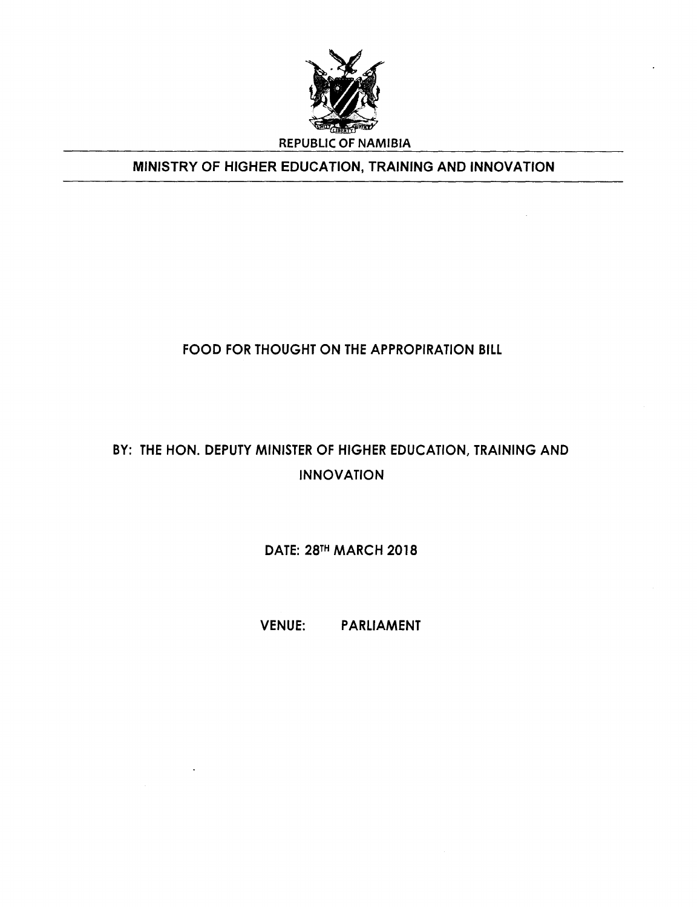

## MINISTRY OF HIGHER EDUCATION, TRAINING AND INNOVATION

## FOOD FOR THOUGHT ON THE APPROPIRATION BILL

# BY: THE HON. DEPUTY MINISTER OF HIGHER EDUCATION, TRAINING AND INNOVATION

DATE: 28TH MARCH 2018

VENUE: PARLIAMENT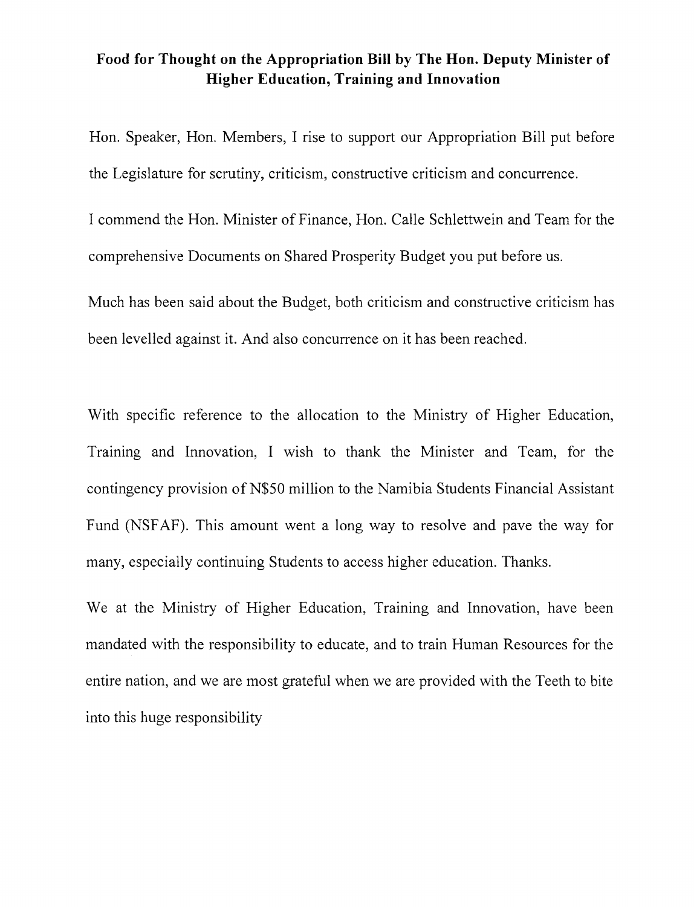#### **Food for Thought on the Appropriation Bill by The Hon. Deputy Minister of Higher Education, Training and Innovation**

Hon. Speaker, Hon. Members, I rise to support our Appropriation Bill put before the Legislature for scrutiny, criticism, constructive criticism and concurrence.

I commend the Hon. Minister of Finance, Hon. Calle Schlettwein and Team for the comprehensive Documents on Shared Prosperity Budget you put before us.

Much has been said about the Budget, both criticism and constructive criticism has been levelled against it. And also concurrence on it has been reached.

With specific reference to the allocation to the Ministry of Higher Education, Training and Innovation, I wish to thank the Minister and Team, for the contingency provision of N\$50 million to the Namibia Students Financial Assistant Fund (NSFAF). This amount went a long way to resolve and pave the way for many, especially continuing Students to access higher education. Thanks.

We at the Ministry of Higher Education, Training and Innovation, have been mandated with the responsibility to educate, and to train Human Resources for the entire nation, and we are most grateful when we are provided with the Teeth to bite into this huge responsibility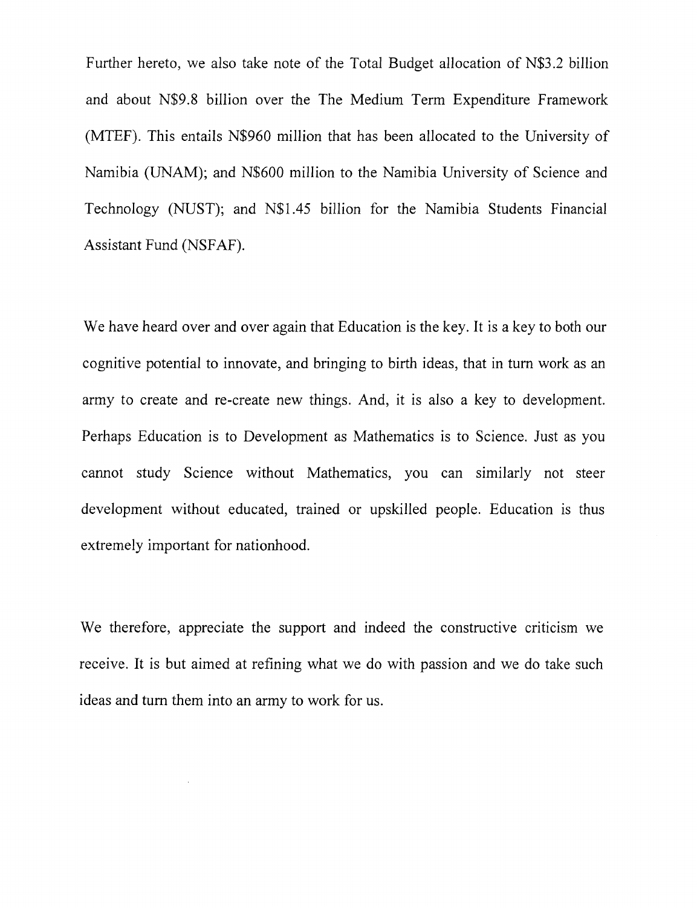Further hereto, we also take note of the Total Budget allocation of N\$3.2 billion and about N\$9.8 billion over the The Medium Term Expenditure Framework (MTEF). This entails N\$960 million that has been allocated to the University of Namibia (UNAM); and N\$600 million to the Namibia University of Science and Technology (NUST); and N\$1.45 billion for the Namibia Students Financial Assistant Fund (NSFAF).

We have heard over and over again that Education is the key. It is a key to both our cognitive potential to innovate, and bringing to birth ideas, that in turn work as an army to create and re-create new things. And, it is also a key to development. Perhaps Education is to Development as Mathematics is to Science. Just as you cannot study Science without Mathematics, you can similarly not steer development without educated, trained or upskilled people. Education is thus extremely important for nationhood.

We therefore, appreciate the support and indeed the constructive criticism we receive. It is but aimed at refining what we do with passion and we do take such ideas and turn them into an army to work for us.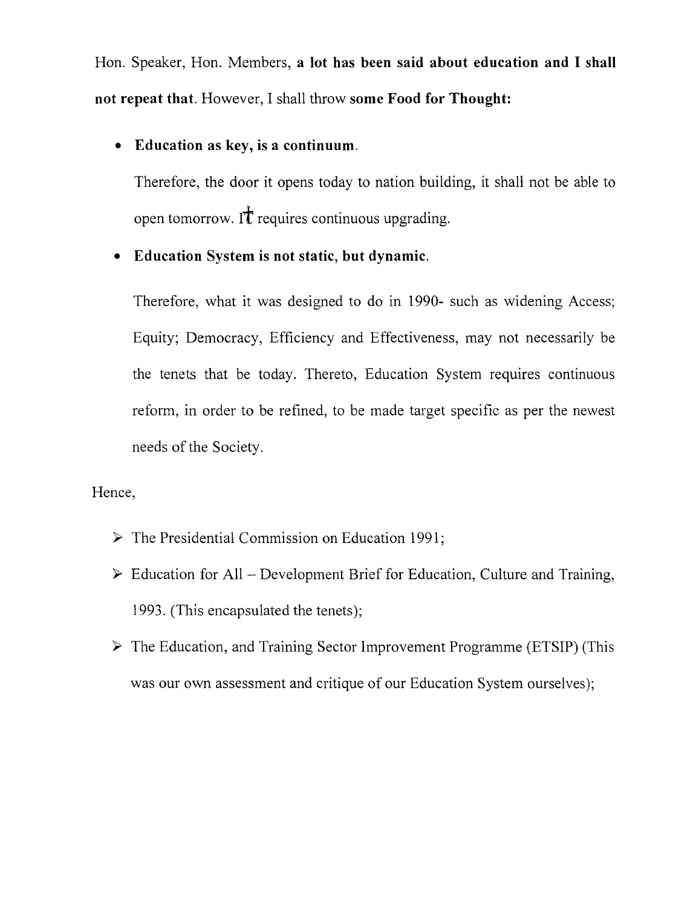Hon. Speaker, Hon. Members, **a lot has been said about education and I shall not repeat that.** However, I shall throw **some Food for Thought:**

## **• Education as key, is a continuum.**

Therefore, the door it opens today to nation building, it shall not be able to open tomorrow. It requires continuous upgrading.

## **• Education System is not static, but dynamic.**

Therefore, what it was designed to do in 1990- such as widening Access; Equity; Democracy, Efficiency and Effectiveness, may not necessarily be the tenets that be today. Thereto, Education System requires continuous reform, in order to be refined, to be made target specific as per the newest needs of the Society.

#### Hence,

- *y* The Presidential Commission on Education 1991;
- *y* Education for All Development Brief for Education, Culture and Training, 1993. (This encapsulated the tenets);
- *y* The Education, and Training Sector Improvement Programme (ETSIP) (This was our own assessment and critique of our Education System ourselves);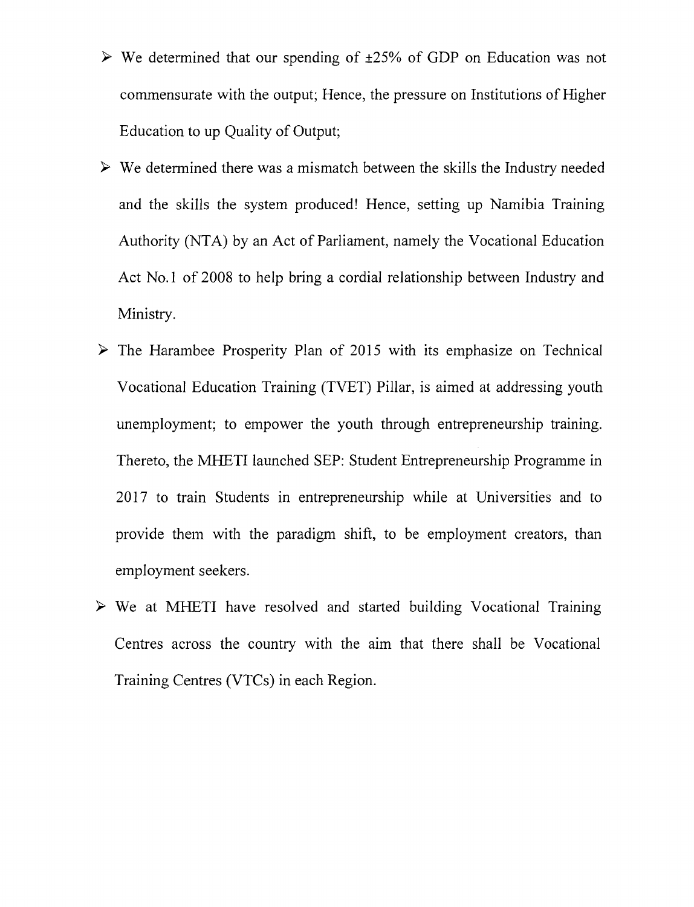- $\triangleright$  We determined that our spending of  $\pm 25\%$  of GDP on Education was not commensurate with the output; Hence, the pressure on Institutions of Higher Education to up Quality of Output;
- $\triangleright$  We determined there was a mismatch between the skills the Industry needed and the skills the system produced! Hence, setting up Namibia Training Authority (NTA) by an Act of Parliament, namely the Vocational Education Act No. 1 of 2008 to help bring a cordial relationship between Industry and Ministry.
- $\triangleright$  The Harambee Prosperity Plan of 2015 with its emphasize on Technical Vocational Education Training (TVET) Pillar, is aimed at addressing youth unemployment; to empower the youth through entrepreneurship training. Thereto, the MHETI launched SEP: Student Entrepreneurship Programme in 2017 to train Students in entrepreneurship while at Universities and to provide them with the paradigm shift, to be employment creators, than employment seekers.
- $\triangleright$  We at MHETI have resolved and started building Vocational Training Centres across the country with the aim that there shall be Vocational Training Centres (VTCs) in each Region.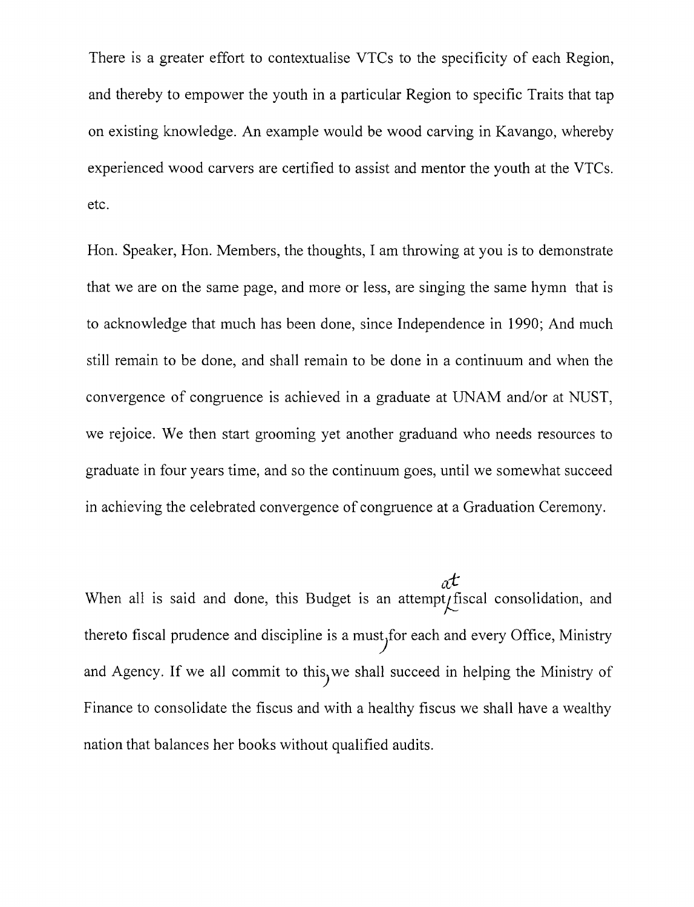There is a greater effort to contextualise VTCs to the specificity of each Region, and thereby to empower the youth in a particular Region to specific Traits that tap on existing knowledge. An example would be wood carving in Kavango, whereby experienced wood carvers are certified to assist and mentor the youth at the VTCs. etc.

Hon. Speaker, Hon. Members, the thoughts, I am throwing at you is to demonstrate that we are on the same page, and more or less, are singing the same hymn that is to acknowledge that much has been done, since Independence in 1990; And much still remain to be done, and shall remain to be done in a continuum and when the convergence of congruence is achieved in a graduate at UNAM and/or at NUST, we rejoice. We then start grooming yet another graduand who needs resources to graduate in four years time, and so the continuum goes, until we somewhat succeed in achieving the celebrated convergence of congruence at a Graduation Ceremony.

 $\pi t$ When all is said and done, this Budget is an attempt fiscal consolidation, and thereto fiscal prudence and discipline is a must<sub>y</sub>for each and every Office, Ministry and Agency. If we all commit to this, we shall succeed in helping the Ministry of Finance to consolidate the fiscus and with a healthy fiscus we shall have a wealthy nation that balances her books without qualified audits.